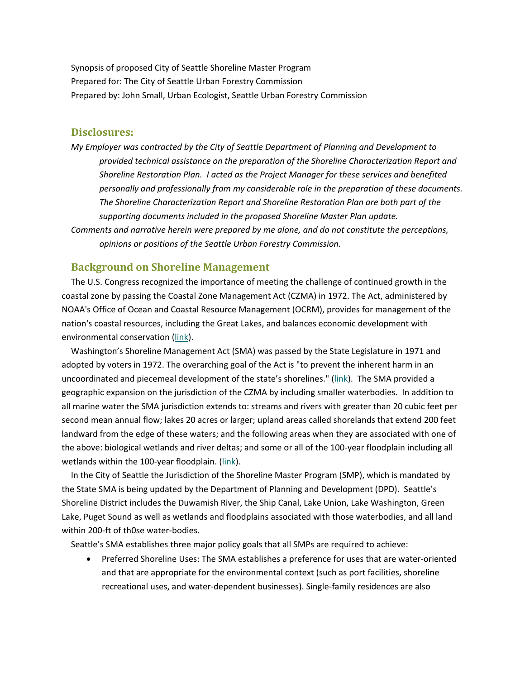Synopsis of proposed City of Seattle Shoreline Master Program Prepared for: The City of Seattle Urban Forestry Commission Prepared by: John Small, Urban Ecologist, Seattle Urban Forestry Commission

### **Disclosures:**

*My Employer was contracted by the City of Seattle Department of Planning and Development to provided technical assistance on the preparation of the Shoreline Characterization Report and Shoreline Restoration Plan. I acted as the Project Manager for these services and benefited personally and professionally from my considerable role in the preparation of these documents. The Shoreline Characterization Report and Shoreline Restoration Plan are both part of the supporting documents included in the proposed Shoreline Master Plan update. Comments and narrative herein were prepared by me alone, and do not constitute the perceptions, opinions or positions of the Seattle Urban Forestry Commission.*

#### **Background on Shoreline Management**

The U.S. Congress recognized the importance of meeting the challenge of continued growth in the coastal zone by passing the Coastal Zone Management Act (CZMA) in 1972. The Act, administered by NOAA's Office of Ocean and Coastal Resource Management (OCRM), provides for management of the nation's coastal resources, including the Great Lakes, and balances economic development with environmental conservation (link).

Washington's Shoreline Management Act (SMA) was passed by the State Legislature in 1971 and adopted by voters in 1972. The overarching goal of the Act is "to prevent the inherent harm in an uncoordinated and piecemeal development of the state's shorelines." (link). The SMA provided a geographic expansion on the jurisdiction of the CZMA by including smaller waterbodies. In addition to all marine water the SMA jurisdiction extends to: streams and rivers with greater than 20 cubic feet per second mean annual flow; lakes 20 acres or larger; upland areas called shorelands that extend 200 feet landward from the edge of these waters; and the following areas when they are associated with one of the above: biological wetlands and river deltas; and some or all of the 100‐year floodplain including all wetlands within the 100‐year floodplain. (link).

In the City of Seattle the Jurisdiction of the Shoreline Master Program (SMP), which is mandated by the State SMA is being updated by the Department of Planning and Development (DPD). Seattle's Shoreline District includes the Duwamish River, the Ship Canal, Lake Union, Lake Washington, Green Lake, Puget Sound as well as wetlands and floodplains associated with those waterbodies, and all land within 200‐ft of th0se water‐bodies.

Seattle's SMA establishes three major policy goals that all SMPs are required to achieve:

 Preferred Shoreline Uses: The SMA establishes a preference for uses that are water‐oriented and that are appropriate for the environmental context (such as port facilities, shoreline recreational uses, and water‐dependent businesses). Single‐family residences are also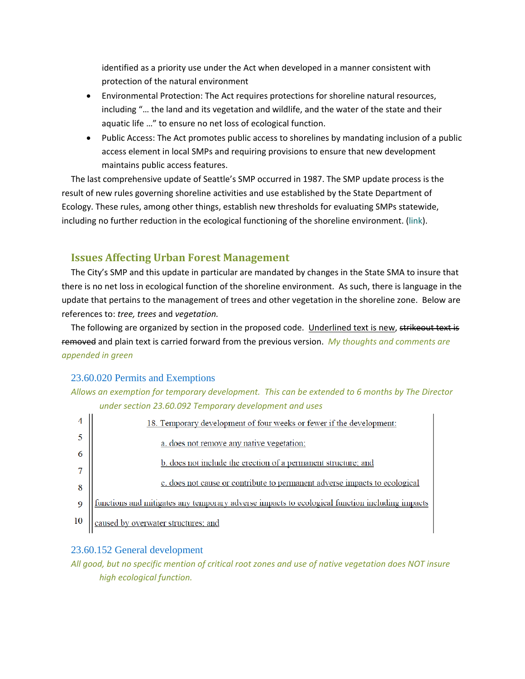identified as a priority use under the Act when developed in a manner consistent with protection of the natural environment

- Environmental Protection: The Act requires protections for shoreline natural resources, including "… the land and its vegetation and wildlife, and the water of the state and their aquatic life …" to ensure no net loss of ecological function.
- Public Access: The Act promotes public access to shorelines by mandating inclusion of a public access element in local SMPs and requiring provisions to ensure that new development maintains public access features.

The last comprehensive update of Seattle's SMP occurred in 1987. The SMP update process is the result of new rules governing shoreline activities and use established by the State Department of Ecology. These rules, among other things, establish new thresholds for evaluating SMPs statewide, including no further reduction in the ecological functioning of the shoreline environment. (link).

## **Issues Affecting Urban Forest Management**

The City's SMP and this update in particular are mandated by changes in the State SMA to insure that there is no net loss in ecological function of the shoreline environment. As such, there is language in the update that pertains to the management of trees and other vegetation in the shoreline zone. Below are references to: *tree, trees* and *vegetation.*

The following are organized by section in the proposed code. Underlined text is new, strikeout text is removed and plain text is carried forward from the previous version. *My thoughts and comments are appended in green*

#### 23.60.020 Permits and Exemptions

## *Allows an exemption for temporary development. This can be extended to 6 months by The Director under section 23.60.092 Temporary development and uses*



#### 23.60.152 General development

All good, but no specific mention of critical root zones and use of native vegetation does NOT insure *high ecological function.*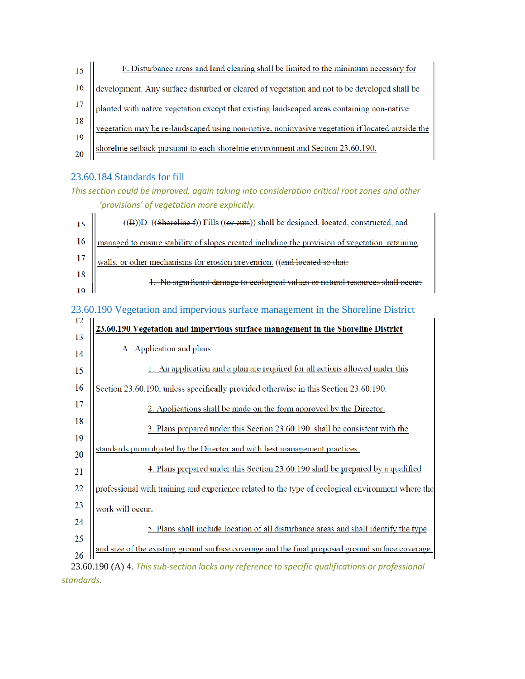

## 23.60.184 Standards for fill

## *This section could be improved, again taking into consideration critical root zones and other 'provisions' of vegetation more explicitly.*

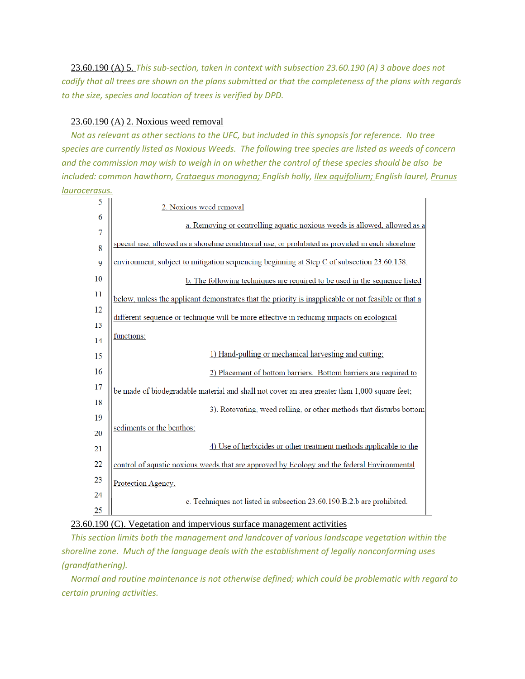23.60.190 (A) 5. *This sub‐section, taken in context with subsection 23.60.190 (A) 3 above does not* codify that all trees are shown on the plans submitted or that the completeness of the plans with regards *to the size, species and location of trees is verified by DPD.*

#### 23.60.190 (A) 2. Noxious weed removal

Not as relevant as other sections to the UFC, but included in this synopsis for reference. No tree species are currently listed as Noxious Weeds. The following tree species are listed as weeds of concern and the commission may wish to weigh in on whether the control of these species should be also be *included: common hawthorn, Crataegus monogyna; English holly, Ilex aquifolium; English laurel, Prunus laurocerasus.*

| 5   | 2. Noxious weed removal                                                                              |  |
|-----|------------------------------------------------------------------------------------------------------|--|
| 6   | a. Removing or controlling aquatic noxious weeds is allowed, allowed as a                            |  |
| 7   |                                                                                                      |  |
| 8   | special use, allowed as a shoreline conditional use, or prohibited as provided in each shoreline     |  |
| 9   | environment, subject to mitigation sequencing beginning at Step C of subsection 23.60.158.           |  |
| 10  | b. The following techniques are required to be used in the sequence listed                           |  |
| -11 | below, unless the applicant demonstrates that the priority is inapplicable or not feasible or that a |  |
| 12  |                                                                                                      |  |
| 13  | different sequence or technique will be more effective in reducing impacts on ecological             |  |
| 14  | functions:                                                                                           |  |
| 15  | 1) Hand-pulling or mechanical harvesting and cutting;                                                |  |
| 16  | 2) Placement of bottom barriers. Bottom barriers are required to                                     |  |
| 17  | be made of biodegradable material and shall not cover an area greater than 1,000 square feet;        |  |
| 18  | 3). Rotovating, weed rolling, or other methods that disturbs bottom                                  |  |
| 19  |                                                                                                      |  |
| 20  | sediments or the benthos;                                                                            |  |
| 21  | 4) Use of herbicides or other treatment methods applicable to the                                    |  |
| 22  | control of aquatic noxious weeds that are approved by Ecology and the federal Environmental          |  |
| 23  | Protection Agency.                                                                                   |  |
| 24  | c. Techniques not listed in subsection 23.60.190.B.2.b are prohibited.                               |  |
| 25  |                                                                                                      |  |

## 23.60.190 (C). Vegetation and impervious surface management activities

*This section limits both the management and landcover of various landscape vegetation within the shoreline zone. Much of the language deals with the establishment of legally nonconforming uses (grandfathering).* 

*Normal and routine maintenance is not otherwise defined; which could be problematic with regard to certain pruning activities.*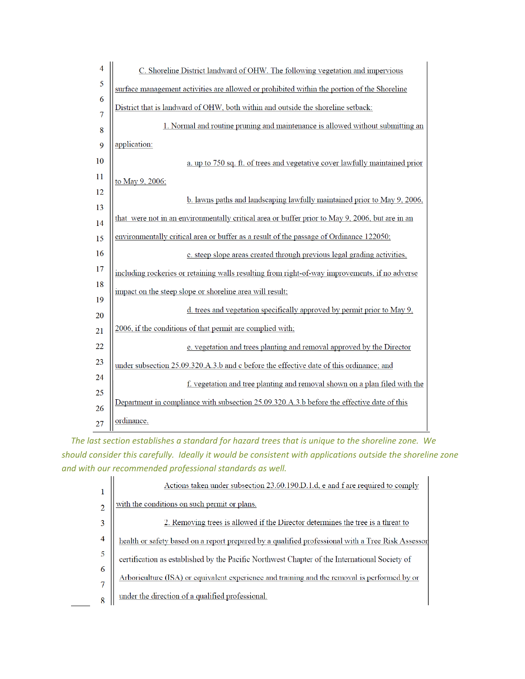| 4  | C. Shoreline District landward of OHW. The following vegetation and impervious                  |  |
|----|-------------------------------------------------------------------------------------------------|--|
| 5  | surface management activities are allowed or prohibited within the portion of the Shoreline     |  |
| 6  | District that is landward of OHW, both within and outside the shoreline setback:                |  |
| 7  |                                                                                                 |  |
| 8  | 1. Normal and routine pruning and maintenance is allowed without submitting an                  |  |
| 9  | application:                                                                                    |  |
| 10 | a. up to 750 sq. ft. of trees and vegetative cover lawfully maintained prior                    |  |
| 11 | to May 9, 2006;                                                                                 |  |
| 12 | b. lawns paths and landscaping lawfully maintained prior to May 9, 2006,                        |  |
| 13 |                                                                                                 |  |
| 14 | that were not in an environmentally critical area or buffer prior to May 9, 2006, but are in an |  |
| 15 | environmentally critical area or buffer as a result of the passage of Ordinance 122050;         |  |
| 16 | c. steep slope areas created through previous legal grading activities,                         |  |
| 17 | including rockeries or retaining walls resulting from right-of-way improvements, if no adverse  |  |
| 18 | impact on the steep slope or shoreline area will result;                                        |  |
| 19 |                                                                                                 |  |
| 20 | d. trees and vegetation specifically approved by permit prior to May 9,                         |  |
| 21 | 2006, if the conditions of that permit are complied with;                                       |  |
| 22 | e. vegetation and trees planting and removal approved by the Director                           |  |
| 23 | under subsection 25.09.320.A.3.b and c before the effective date of this ordinance; and         |  |
| 24 |                                                                                                 |  |
| 25 | f. vegetation and tree planting and removal shown on a plan filed with the                      |  |
| 26 | Department in compliance with subsection 25.09.320.A.3.b before the effective date of this      |  |
| 27 | ordinance.                                                                                      |  |

*The last section establishes a standard for hazard trees that is unique to the shoreline zone. We should consider this carefully. Ideally it would be consistent with applications outside the shoreline zone and with our recommended professional standards as well.*

|                | Actions taken under subsection 23.60.190.D.1.d, e and f are required to comply                    |
|----------------|---------------------------------------------------------------------------------------------------|
|                | with the conditions on such permit or plans.                                                      |
|                | 2. Removing trees is allowed if the Director determines the tree is a threat to                   |
| $\overline{4}$ | health or safety based on a report prepared by a qualified professional with a Tree Risk Assessor |
| 5              | certification as established by the Pacific Northwest Chapter of the International Society of     |
| 6              | Arboriculture (ISA) or equivalent experience and training and the removal is performed by or      |
|                | under the direction of a qualified professional.                                                  |

 $\overline{a}$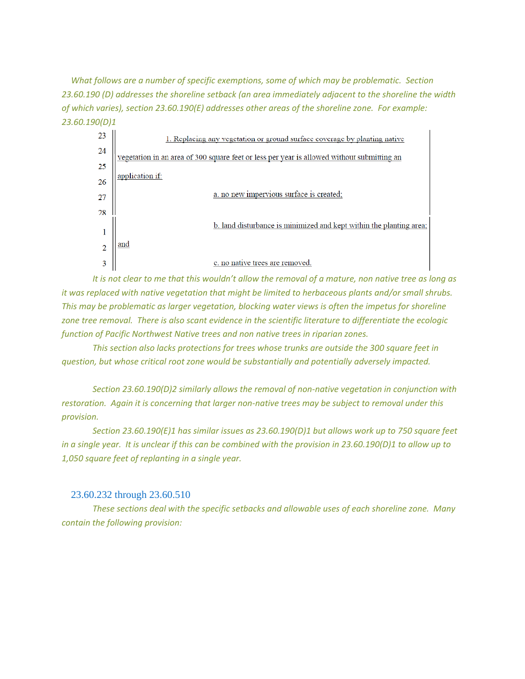*What follows are a number of specific exemptions, some of which may be problematic. Section 23.60.190 (D) addresses the shoreline setback (an area immediately adjacent to the shoreline the width of which varies), section 23.60.190(E) addresses other areas of the shoreline zone. For example: 23.60.190(D)1*



It is not clear to me that this wouldn't allow the removal of a mature, non native tree as long as *it was replaced with native vegetation that might be limited to herbaceous plants and/or small shrubs. This may be problematic as larger vegetation, blocking water views is often the impetus for shoreline* zone tree removal. There is also scant evidence in the scientific literature to differentiate the ecologic *function of Pacific Northwest Native trees and non native trees in riparian zones.* 

*This section also lacks protections for trees whose trunks are outside the 300 square feet in question, but whose critical root zone would be substantially and potentially adversely impacted.*

*Section 23.60.190(D)2 similarly allows the removal of non‐native vegetation in conjunction with* restoration. Again it is concerning that larger non-native trees may be subject to removal under this *provision.*

*Section 23.60.190(E)1 has similar issues as 23.60.190(D)1 but allows work up to 750 square feet* in a single year. It is unclear if this can be combined with the provision in  $23.60.190(D)1$  to allow up to *1,050 square feet of replanting in a single year.*

#### 23.60.232 through 23.60.510

*These sections deal with the specific setbacks and allowable uses of each shoreline zone. Many contain the following provision:*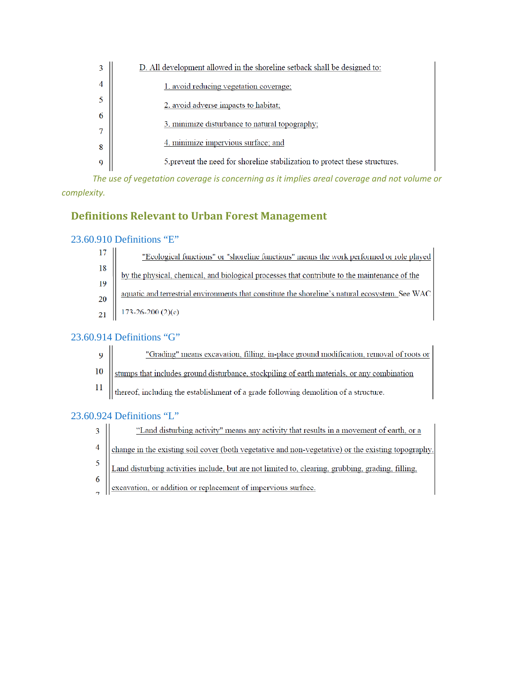|   | D. All development allowed in the shoreline setback shall be designed to:    |
|---|------------------------------------------------------------------------------|
|   | 1. avoid reducing vegetation coverage;                                       |
|   | 2. avoid adverse impacts to habitat;                                         |
|   | 3. minimize disturbance to natural topography.                               |
|   |                                                                              |
| 8 | 4. minimize impervious surface; and                                          |
| Q | 5. prevent the need for shoreline stabilization to protect these structures. |

*The use of vegetation coverage is concerning as it implies areal coverage and not volume or*  $complexity$ *.* 

# **Definitions Relevant to Urban Forest Management**

## 23.60.910 Definitions "E"

| "Ecological functions" or "shoreline functions" means the work performed or role played                                                                   |
|-----------------------------------------------------------------------------------------------------------------------------------------------------------|
| <sup>17</sup><br><sup>18</sup><br><u>by the physical, chemical, and biological processes that contribute to the maintenance of the<br/> <sup>19</sup></u> |
|                                                                                                                                                           |
| 20   aquatic and terrestrial environments that constitute the shoreline's natural ecosystem. See WAC                                                      |
| $21$   173-26-200 (2)(c).                                                                                                                                 |

## 23.60.914 Definitions "G"

- $\overline{9}$ "Grading" means excavation, filling, in-place ground modification, removal of roots or
- stumps that includes ground disturbance, stockpiling of earth materials, or any combination 10
- $11$ thereof, including the establishment of a grade following demolition of a structure.

## 23.60.924 Definitions "L"

- "Land disturbing activity" means any activity that results in a movement of earth, or a  $\overline{3}$
- $\overline{4}$ change in the existing soil cover (both vegetative and non-vegetative) or the existing topography.
- 5 Land disturbing activities include, but are not limited to, clearing, grubbing, grading, filling,
- 6  $\overline{1}$ 
	- excavation, or addition or replacement of impervious surface.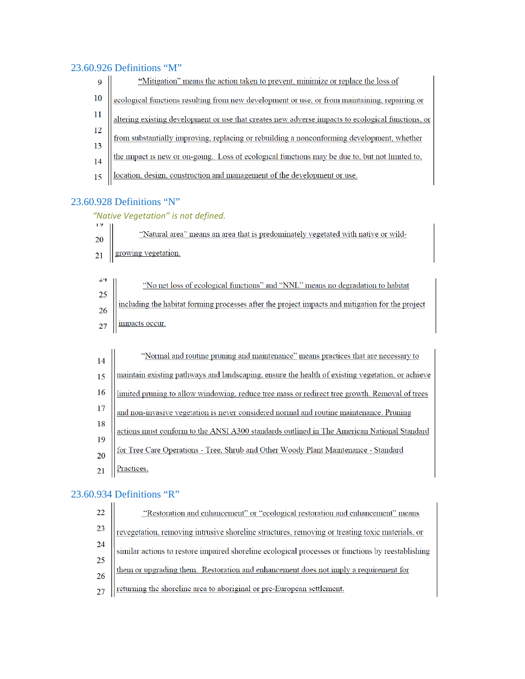## 23.60.926 Definitions "M"

| 9  | "Mitigation" means the action taken to prevent, minimize or replace the loss of                   |
|----|---------------------------------------------------------------------------------------------------|
| 10 | ecological functions resulting from new development or use, or from maintaining, repairing or     |
|    | altering existing development or use that creates new adverse impacts to ecological functions, or |
| 12 | from substantially improving, replacing or rebuilding a nonconforming development, whether        |
| 13 |                                                                                                   |
| 14 | the impact is new or on-going. Loss of ecological functions may be due to, but not limited to,    |
| 15 | location, design, construction and management of the development or use.                          |

# 23.60.928 Definitions "N"

# *"Native Vegetation" is not defined.*

| 12.                                                        |                                                                                                  |
|------------------------------------------------------------|--------------------------------------------------------------------------------------------------|
| 20 <sub>2</sub>                                            | "Natural area" means an area that is predominately vegetated with native or wild-                |
|                                                            | $_{21}$ growing vegetation.                                                                      |
|                                                            |                                                                                                  |
|                                                            | "No net loss of ecological functions" and "NNL" means no degradation to habitat                  |
|                                                            |                                                                                                  |
| $\begin{array}{c}\n 24 \\  25 \\  26 \\  27\n \end{array}$ | including the habitat forming processes after the project impacts and mitigation for the project |
|                                                            | impacts occur.                                                                                   |

| 14              | "Normal and routine pruning and maintenance" means practices that are necessary to                                                                                                                 |
|-----------------|----------------------------------------------------------------------------------------------------------------------------------------------------------------------------------------------------|
| 15              | maintain existing pathways and landscaping, ensure the health of existing vegetation, or achieve<br>limited pruning to allow windowing, reduce tree mass or redirect tree growth. Removal of trees |
| 16              |                                                                                                                                                                                                    |
| 17              | and non-invasive vegetation is never considered normal and routine maintenance. Pruning                                                                                                            |
| 18              | actions must conform to the ANSI A300 standards outlined in The American National Standard                                                                                                         |
| 19              |                                                                                                                                                                                                    |
| 20              | for Tree Care Operations - Tree, Shrub and Other Woody Plant Maintenance - Standard                                                                                                                |
| $\overline{21}$ | Practices.                                                                                                                                                                                         |

# 23.60.934 Definitions "R"

| 22              | "Restoration and enhancement" or "ecological restoration and enhancement" means                   |
|-----------------|---------------------------------------------------------------------------------------------------|
| 23              | revegetation, removing intrusive shoreline structures, removing or treating toxic materials, or   |
| $\frac{24}{25}$ | similar actions to restore impaired shoreline ecological processes or functions by reestablishing |
|                 |                                                                                                   |
| $\frac{26}{5}$  | them or upgrading them. Restoration and enhancement does not imply a requirement for              |
| 27              | returning the shoreline area to aboriginal or pre-European settlement.                            |